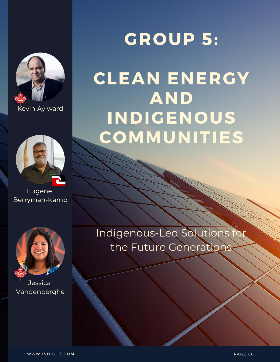

Kevin Aylward K



Eugene Berryman-Kamp



**Jessica** Vandenberghe

## **GROUP 5:**

### **CLEAN ENERGY AND** INDIGENOUS COMMUNITIES

Indigenous-Led Solutions the Future Generations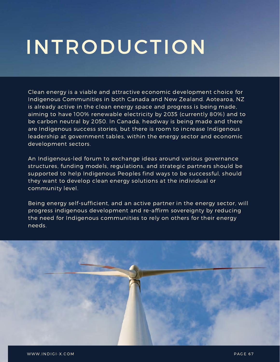# **INTRODUCTION**

Clean energy is a viable and attractive economic development choice for Indigenous Communities in both Canada and New Zealand. Aotearoa, NZ is already active in the clean energy space and progress is being made, aiming to have 100% renewable electricity by 2035 (currently 80%) and to be carbon neutral by 2050. In Canada, headway is being made and there are Indigenous success stories, but there is room to increase Indigenous leadership at government tables, within the energy sector and economic development sectors.

An Indigenous-led forum to exchange ideas around various governance structures, funding models, regulations, and strategic partners should be supported to help Indigenous Peoples find ways to be successful, should they want to develop clean energy solutions at the individual or community level.

Being energy self-sufficient, and an active partner in the energy sector, will progress indigenous development and re-affirm sovereignty by reducing the need for Indigenous communities to rely on others for their energy needs.

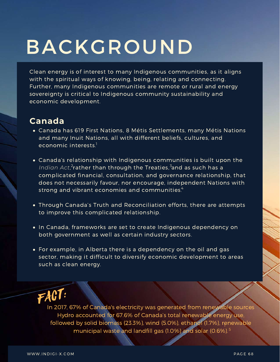# BACKGROUND

Clean energy is of interest to many Indigenous communities, as it aligns with the spiritual ways of knowing, being, relating and connecting. Further, many Indigenous communities are remote or rural and energy sovereignty is critical to Indigenous community sustainability and economic development.

#### **Canada**

- Canada has 619 First Nations, 8 Métis Settlements, many Métis Nations and many Inuit Nations, all with different beliefs, cultures, and economic interests. $^{\rm l}$
- Canada's relationship with Indigenous communities is built upon the Indian Act,<sup>2</sup>rather than through the Treaties,<sup>3</sup>and as such has a complicated financial, consultation, and governance relationship, that does not necessarily favour, nor encourage, independent Nations with strong and vibrant economies and communities. $\hbox{}^{4}$
- Through Canada's Truth and Reconciliation efforts, there are attempts to improve this complicated relationship.
- In Canada, frameworks are set to create Indigenous dependency on both government as well as certain industry sectors.
- For example, in Alberta there is a dependency on the oil and gas sector, making it difficult to diversify economic development to areas such as clean energy.

### FACT:

In 2017, 67% of Canada's electricity was generated from renewable sources Hydro accounted for 67.6% of Canada's total renewable energy use, followed by solid biomass (23.3%), wind (5.0%), ethanol (1.7%), renewable municipal waste and landfill gas (1.0%) and solar (0.6%). 5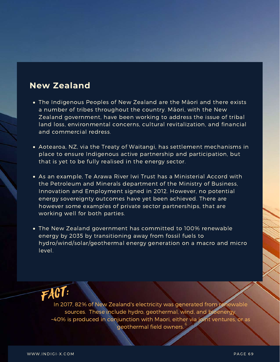#### **New Zealand**

- The Indigenous Peoples of New Zealand are the Māori and there exists a number of tribes throughout the country. Māori, with the New Zealand government, have been working to address the issue of tribal land loss, environmental concerns, cultural revitalization, and financial and commercial redress.
- Aotearoa, NZ, via the Treaty of Waitangi, has settlement mechanisms in place to ensure Indigenous active partnership and participation, but that is yet to be fully realised in the energy sector.
- As an example, Te Arawa River Iwi Trust has a Ministerial Accord with the Petroleum and Minerals department of the Ministry of Business, Innovation and Employment signed in 2012. However, no potential energy sovereignty outcomes have yet been achieved. There are however some examples of private sector partnerships, that are working well for both parties.
- The New Zealand government has committed to 100% renewable energy by 2035 by transitioning away from fossil fuels to hydro/wind/solar/geothermal energy generation on a macro and micro level.



In 2017, 82% of New Zealand's electricity was generated from renewable sources. These include hydro, geothermal, wind, and bioenergy. ~40% is produced in conjunction with Maori, either via joint ventures, or as geothermal field owners. 6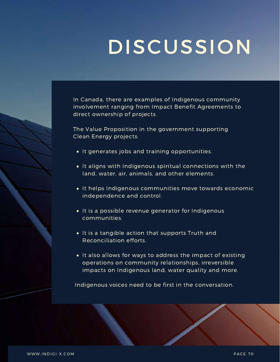# **DISCUSSION**

In Canada, there are examples of Indigenous community involvement ranging from Impact Benefit Agreements to direct ownership of projects.

The Value Proposition in the government supporting Clean Energy projects:

- It generates jobs and training opportunities.
- It aligns with Indigenous spiritual connections with the land, water, air, animals, and other elements.
- It helps Indigenous communities move towards economic independence and control.
- $\bullet$  It is a possible revenue generator for Indigenous communities.
- It is a tangible action that supports Truth and Reconciliation efforts.
- It also allows for ways to address the impact of existing operations on community relationships, irreversible impacts on Indigenous land, water quality and more.

Indigenous voices need to be first in the conversation.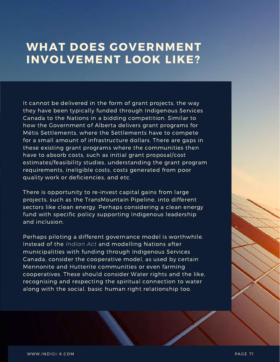### WHAT DOES GOVERNMENT **INVOLVEMENT LOOK LIKE?**

It cannot be delivered in the form of grant projects, the way they have been typically funded through Indigenous Services Canada to the Nations in a bidding competition. Similar to how the Government of Alberta delivers grant programs for Métis Settlements, where the Settlements have to compete for a small amount of infrastructure dollars. There are gaps in these existing grant programs where the communities then have to absorb costs, such as initial grant proposal/cost estimates/feasibility studies, understanding the grant program requirements, ineligible costs, costs generated from poor quality work or deficiencies, and etc.

There is opportunity to re-invest capital gains from large projects, such as the TransMountain Pipeline, into different sectors like clean energy. Perhaps considering a clean energy fund with specific policy supporting Indigenous leadership and inclusion.

Perhaps piloting a different governance model is worthwhile. Instead of the *Indian Act* and modelling Nations after municipalities with funding through Indigenous Services Canada, consider the cooperative model, as used by certain Mennonite and Hutterite communities or even farming cooperatives. These should consider Water rights and the like, recognising and respecting the spiritual connection to water along with the social, basic human right relationship too.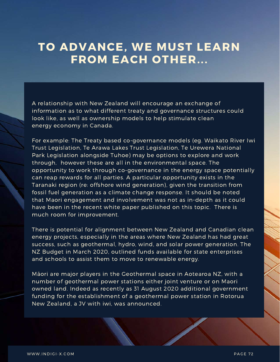### TO ADVANCE, WE MUST LEARN FROM EACH OTHER...

A relationship with New Zealand will encourage an exchange of information as to what different treaty and governance structures could look like, as well as ownership models to help stimulate clean energy economy in Canada.

For example: The Treaty based co-governance models (eg. Waikato River Iwi Trust Legislation, Te Arawa Lakes Trust Legislation, Te Urewera National Park Legislation alongside Tuhoe) may be options to explore and work through, however these are all in the environmental space. The opportunity to work through co-governance in the energy space potentially can reap rewards for all parties. A particular opportunity exists in the Taranaki region (re: offshore wind generation), given the transition from fossil fuel generation as a climate change response. It should be noted that Maori engagement and involvement was not as in-depth as it could have been in the recent white paper published on this topic. There is much room for improvement.

There is potential for alignment between New Zealand and Canadian clean energy projects, especially in the areas where New Zealand has had great success, such as geothermal, hydro, wind, and solar power generation. The NZ Budget in March 2020, outlined funds available for state enterprises and schools to assist them to move to renewable energy.

Māori are major players in the Geothermal space in Aotearoa NZ, with a number of geothermal power stations either joint venture or on Maori owned land. Indeed as recently as 31 August 2020 additional government funding for the establishment of a geothermal power station in Rotorua New Zealand, a JV with iwi, was announced.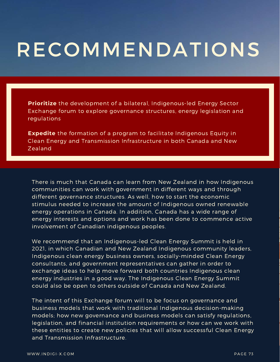# **RECOMMENDATIONS**

**Prioritize** the development of a bilateral, Indigenous-led Energy Sector Exchange forum to explore governance structures, energy legislation and regulations

**Expedite** the formation of a program to facilitate Indigenous Equity in Clean Energy and Transmission Infrastructure in both Canada and New Zealand

There is much that Canada can learn from New Zealand in how Indigenous communities can work with government in different ways and through different governance structures. As well, how to start the economic stimulus needed to increase the amount of Indigenous owned renewable energy operations in Canada. In addition, Canada has a wide range of energy interests and options and work has been done to commence active involvement of Canadian indigenous peoples.

We recommend that an Indigenous-led Clean Energy Summit is held in 2021, in which Canadian and New Zealand Indigenous community leaders, Indigenous clean energy business owners, socially-minded Clean Energy consultants, and government representatives can gather in order to exchange ideas to help move forward both countries Indigenous clean energy industries in a good way. The Indigenous Clean Energy Summit could also be open to others outside of Canada and New Zealand.

The intent of this Exchange forum will to be focus on governance and business models that work with traditional Indigenous decision-making models; how new governance and business models can satisfy regulations, legislation, and financial institution requirements or how can we work with these entities to create new policies that will allow successful Clean Energy and Transmission Infrastructure.